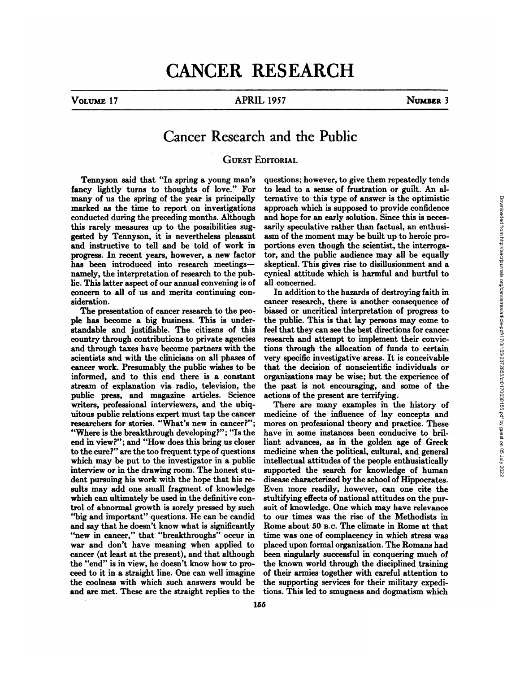## CANCER RESEARCH

## VOLUME17 APRIL 1957 NUMBER3

## Cancer Research and the Public

## GUEST EDITORIAL

Tennyson said that "In spring a young man's fancy lightly turns to thoughts of love." For many of us the spring of the year is principally marked as the time to report on investigations conducted during the preceding months. Although this rarely measures up to the possibilities sug gested by Tennyson, it is nevertheless pleasant and instructive to tell and be told of work in progress. In recent years, however, a new factor has been introduced into research meetings namely, the interpretation of research to the pub lic. This latter aspect of our annual convening is of concern to all of us and merits continuing con sideration.

The presentation of cancer research to the peo ple has become a big business. This is under standable and justifiable. The citizens of this country through contributions to private agencies and through taxes have become partners with the scientists and with the clinicians on all phases of cancer work. Presumably the public wishes to be informed, and to this end there is a constant stream of explanation via radio, television, the public press, and magazine articles. Science writers, professional interviewers, and the ubiq uitous public relations expert must tap the cancer researchers for stories. "What's new in cancer?"; "Where is the breakthrough developing?"; "Is the end in view?"; and "How does this bring us closer to the cure?" are the too frequent type of questions which may be put to the investigator in a public interview or in the drawing room. The honest stu dent pursuing his work with the hope that his re sults may add one small fragment of knowledge which can ultimately be used in the definitive control of abnormal growth is sorely pressed by such "big and important" questions. He can be candid and say that he doesn't know what is significantly "new in cancer," that "breakthroughs" occur in war and don't have meaning when applied to cancer (at least at the present), and that although the "end" is in view, he doesn't know how to pro ceed to it in a straight line. One can well imagine the coolness with which such answers would be and are met. These are the straight replies to the

questions; however, to give them repeatedly tends to lead to a sense of frustration or guilt. An al ternative to this type of answer is the optimistic approach which is supposed to provide confidence and hope for an early solution. Since this is neces sarily speculative rather than factual, an enthusi asm of the moment may be built up to heroic pro portions even though the scientist, the interroga tor, and the public audience may allbe equally skeptical. This gives rise to disillusionment and a cynical attitude which is harmful and hurtful to all concerned.

In addition to the hazards of destroying faith in cancer research, there is another consequence of biased or uncritical interpretation of progress to the public. This is that lay persons may come to feel that they can see the best directions for cancer research and attempt to implement their convic tions through the allocation of funds to certain very specific investigative areas. It is conceivable that the decision of nonscientific individuals or organizations may be wise; but the experience of the past is not encouraging, and some of the actions of the present are terrifying.

There are many examples in the history of medicine of the influence of lay concepts and mores on professional theory and practice. These have in some instances been conducive to bril liant advances, as in the golden age of Greek medicine when the political, cultural, and general intellectual attitudes of the people enthusiatically supported the search for knowledge of human disease characterized by the school of Hippocrates. Even more readily, however, can one cite the stultifying effects of national attitudes on the pur suit of knowledge. One which may have relevance to our times was the rise of the Methodists in Rome about 50 B.c. The climate in Rome at that time was one of complacency in which stress was placed upon formal organization. The Romans had been singularly successful in conquering much of the known world through the disciplined training of their armies together with careful attention to the supporting services for their military expedi tions. This led to smugness and dogmatism which